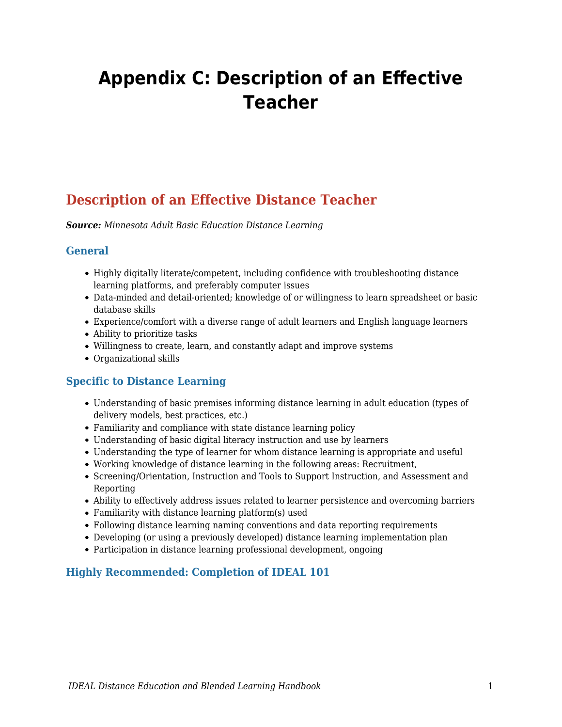# **Appendix C: Description of an Effective Teacher**

# **Description of an Effective Distance Teacher**

*Source: Minnesota Adult Basic Education Distance Learning*

#### **General**

- Highly digitally literate/competent, including confidence with troubleshooting distance learning platforms, and preferably computer issues
- Data-minded and detail-oriented; knowledge of or willingness to learn spreadsheet or basic database skills
- Experience/comfort with a diverse range of adult learners and English language learners
- Ability to prioritize tasks
- Willingness to create, learn, and constantly adapt and improve systems
- Organizational skills

## **Specific to Distance Learning**

- Understanding of basic premises informing distance learning in adult education (types of delivery models, best practices, etc.)
- Familiarity and compliance with state distance learning policy
- Understanding of basic digital literacy instruction and use by learners
- Understanding the type of learner for whom distance learning is appropriate and useful
- Working knowledge of distance learning in the following areas: Recruitment,
- Screening/Orientation, Instruction and Tools to Support Instruction, and Assessment and Reporting
- Ability to effectively address issues related to learner persistence and overcoming barriers
- Familiarity with distance learning platform(s) used
- Following distance learning naming conventions and data reporting requirements
- Developing (or using a previously developed) distance learning implementation plan
- Participation in distance learning professional development, ongoing

## **Highly Recommended: Completion of IDEAL 101**